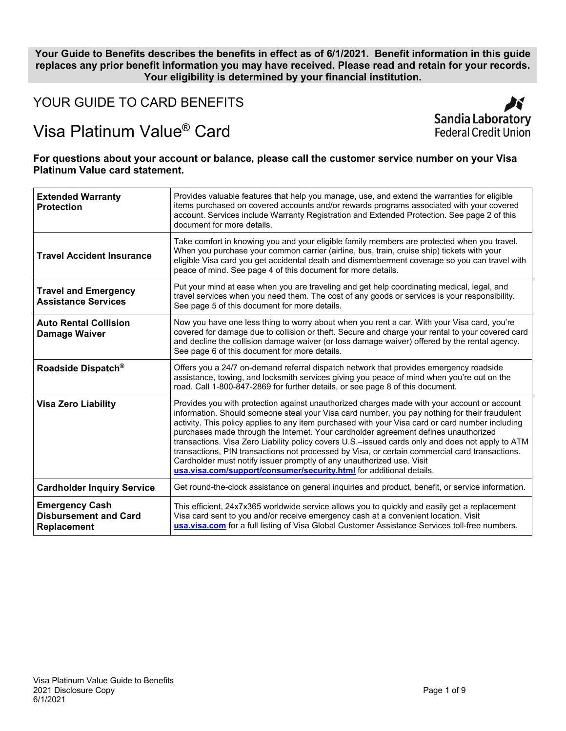# **Your Guide to Benefits describes the benefits in effect as of 6/1/2021. Benefit information in this guide replaces any prior benefit information you may have received. Please read and retain for your records. Your eligibility is determined by your financial institution.**

YOUR GUIDE TO CARD BENEFITS

# Visa Platinum Value® Card



# **For questions about your account or balance, please call the customer service number on your Visa Platinum Value card statement.**

| <b>Extended Warranty</b><br><b>Protection</b>                        | Provides valuable features that help you manage, use, and extend the warranties for eligible<br>items purchased on covered accounts and/or rewards programs associated with your covered<br>account. Services include Warranty Registration and Extended Protection. See page 2 of this<br>document for more details.                                                                                                                                                                                                                                                                                                                                                                                                                         |  |
|----------------------------------------------------------------------|-----------------------------------------------------------------------------------------------------------------------------------------------------------------------------------------------------------------------------------------------------------------------------------------------------------------------------------------------------------------------------------------------------------------------------------------------------------------------------------------------------------------------------------------------------------------------------------------------------------------------------------------------------------------------------------------------------------------------------------------------|--|
| <b>Travel Accident Insurance</b>                                     | Take comfort in knowing you and your eligible family members are protected when you travel.<br>When you purchase your common carrier (airline, bus, train, cruise ship) tickets with your<br>eligible Visa card you get accidental death and dismemberment coverage so you can travel with<br>peace of mind. See page 4 of this document for more details.                                                                                                                                                                                                                                                                                                                                                                                    |  |
| <b>Travel and Emergency</b><br><b>Assistance Services</b>            | Put your mind at ease when you are traveling and get help coordinating medical, legal, and<br>travel services when you need them. The cost of any goods or services is your responsibility.<br>See page 5 of this document for more details.                                                                                                                                                                                                                                                                                                                                                                                                                                                                                                  |  |
| <b>Auto Rental Collision</b><br><b>Damage Waiver</b>                 | Now you have one less thing to worry about when you rent a car. With your Visa card, you're<br>covered for damage due to collision or theft. Secure and charge your rental to your covered card<br>and decline the collision damage waiver (or loss damage waiver) offered by the rental agency.<br>See page 6 of this document for more details.                                                                                                                                                                                                                                                                                                                                                                                             |  |
| Roadside Dispatch <sup>®</sup>                                       | Offers you a 24/7 on-demand referral dispatch network that provides emergency roadside<br>assistance, towing, and locksmith services giving you peace of mind when you're out on the<br>road. Call 1-800-847-2869 for further details, or see page 8 of this document.                                                                                                                                                                                                                                                                                                                                                                                                                                                                        |  |
| <b>Visa Zero Liability</b>                                           | Provides you with protection against unauthorized charges made with your account or account<br>information. Should someone steal your Visa card number, you pay nothing for their fraudulent<br>activity. This policy applies to any item purchased with your Visa card or card number including<br>purchases made through the Internet. Your cardholder agreement defines unauthorized<br>transactions. Visa Zero Liability policy covers U.S.-issued cards only and does not apply to ATM<br>transactions, PIN transactions not processed by Visa, or certain commercial card transactions.<br>Cardholder must notify issuer promptly of any unauthorized use. Visit<br>usa.visa.com/support/consumer/security.html for additional details. |  |
| <b>Cardholder Inquiry Service</b>                                    | Get round-the-clock assistance on general inquiries and product, benefit, or service information.                                                                                                                                                                                                                                                                                                                                                                                                                                                                                                                                                                                                                                             |  |
| <b>Emergency Cash</b><br><b>Disbursement and Card</b><br>Replacement | This efficient, 24x7x365 worldwide service allows you to quickly and easily get a replacement<br>Visa card sent to you and/or receive emergency cash at a convenient location. Visit<br>usa.visa.com for a full listing of Visa Global Customer Assistance Services toll-free numbers.                                                                                                                                                                                                                                                                                                                                                                                                                                                        |  |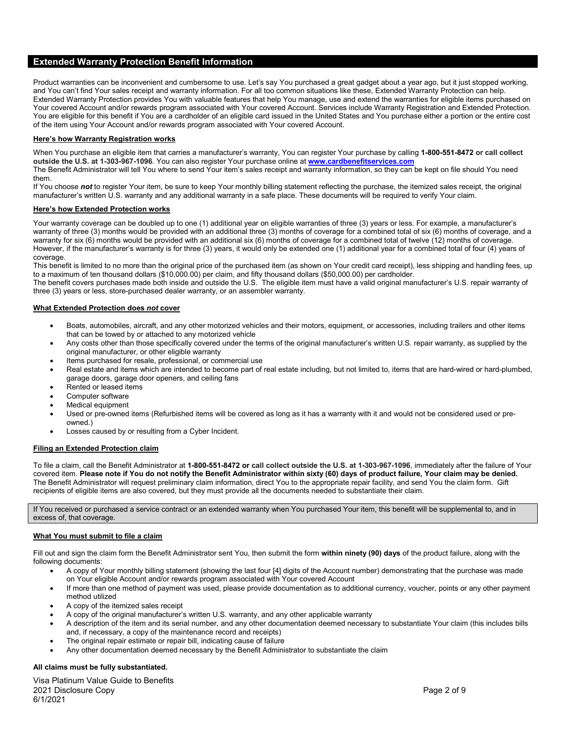# **Extended Warranty Protection Benefit Information**

Product warranties can be inconvenient and cumbersome to use. Let's say You purchased a great gadget about a year ago, but it just stopped working, and You can't find Your sales receipt and warranty information. For all too common situations like these, Extended Warranty Protection can help. Extended Warranty Protection provides You with valuable features that help You manage, use and extend the warranties for eligible items purchased on Your covered Account and/or rewards program associated with Your covered Account. Services include Warranty Registration and Extended Protection. You are eligible for this benefit if You are a cardholder of an eligible card issued in the United States and You purchase either a portion or the entire cost of the item using Your Account and/or rewards program associated with Your covered Account.

## **Here's how Warranty Registration works**

When You purchase an eligible item that carries a manufacturer's warranty, You can register Your purchase by calling **1-800-551-8472 or call collect outside the U.S. at 1-303-967-1096**. You can also register Your purchase online at **[www.cardbenefitservices.com](http://www.cardbenefitservices.com/)**.

The Benefit Administrator will tell You where to send Your item's sales receipt and warranty information, so they can be kept on file should You need them.

If You choose not to register Your item, be sure to keep Your monthly billing statement reflecting the purchase, the itemized sales receipt, the original manufacturer's written U.S. warranty and any additional warranty in a safe place. These documents will be required to verify Your claim.

## **Here's how Extended Protection works**

Your warranty coverage can be doubled up to one (1) additional year on eligible warranties of three (3) years or less. For example, a manufacturer's warranty of three (3) months would be provided with an additional three (3) months of coverage for a combined total of six (6) months of coverage, and a warranty for six (6) months would be provided with an additional six (6) months of coverage for a combined total of twelve (12) months of coverage. However, if the manufacturer's warranty is for three (3) years, it would only be extended one (1) additional year for a combined total of four (4) years of coverage.

This benefit is limited to no more than the original price of the purchased item (as shown on Your credit card receipt), less shipping and handling fees, up to a maximum of ten thousand dollars (\$10,000.00) per claim, and fifty thousand dollars (\$50,000.00) per cardholder.

The benefit covers purchases made both inside and outside the U.S. The eligible item must have a valid original manufacturer's U.S. repair warranty of three (3) years or less, store-purchased dealer warranty, or an assembler warranty.

## **What Extended Protection does** *not* **cover**

- Boats, automobiles, aircraft, and any other motorized vehicles and their motors, equipment, or accessories, including trailers and other items that can be towed by or attached to any motorized vehicle
- Any costs other than those specifically covered under the terms of the original manufacturer's written U.S. repair warranty, as supplied by the original manufacturer, or other eligible warranty
- Items purchased for resale, professional, or commercial use
- Real estate and items which are intended to become part of real estate including, but not limited to, items that are hard-wired or hard-plumbed, garage doors, garage door openers, and ceiling fans
- Rented or leased items
- Computer software
- Medical equipment
- Used or pre-owned items (Refurbished items will be covered as long as it has a warranty with it and would not be considered used or preowned.)
- Losses caused by or resulting from a Cyber Incident.

## **Filing an Extended Protection claim**

To file a claim, call the Benefit Administrator at **1-800-551-8472 or call collect outside the U.S. at 1-303-967-1096**, immediately after the failure of Your covered item. **Please note if You do not notify the Benefit Administrator within sixty (60) days of product failure, Your claim may be denied.**  The Benefit Administrator will request preliminary claim information, direct You to the appropriate repair facility, and send You the claim form. Gift recipients of eligible items are also covered, but they must provide all the documents needed to substantiate their claim.

If You received or purchased a service contract or an extended warranty when You purchased Your item, this benefit will be supplemental to, and in excess of, that coverage.

## **What You must submit to file a claim**

Fill out and sign the claim form the Benefit Administrator sent You, then submit the form **within ninety (90) days** of the product failure, along with the following documents:

- A copy of Your monthly billing statement (showing the last four [4] digits of the Account number) demonstrating that the purchase was made on Your eligible Account and/or rewards program associated with Your covered Account
- If more than one method of payment was used, please provide documentation as to additional currency, voucher, points or any other payment method utilized
- A copy of the itemized sales receipt
- A copy of the original manufacturer's written U.S. warranty, and any other applicable warranty
- A description of the item and its serial number, and any other documentation deemed necessary to substantiate Your claim (this includes bills and, if necessary, a copy of the maintenance record and receipts)
- The original repair estimate or repair bill, indicating cause of failure
- Any other documentation deemed necessary by the Benefit Administrator to substantiate the claim

#### **All claims must be fully substantiated.**

Visa Platinum Value Guide to Benefits 2021 Disclosure Copy Page 2 of 9 6/1/2021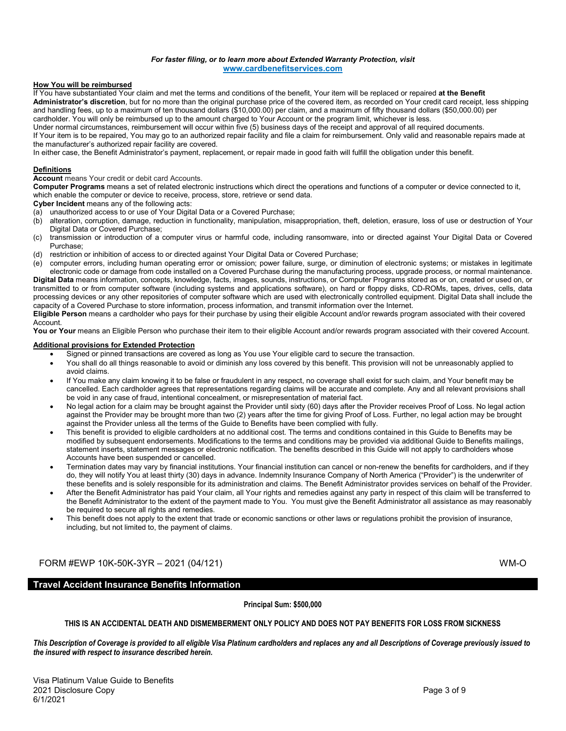# *For faster filing, or to learn more about Extended Warranty Protection, visit* **[www.cardbenefitservices.com](http://www.cardbenefitservices.com/)**

#### **How You will be reimbursed**

If You have substantiated Your claim and met the terms and conditions of the benefit, Your item will be replaced or repaired **at the Benefit Administrator's discretion**, but for no more than the original purchase price of the covered item, as recorded on Your credit card receipt, less shipping and handling fees, up to a maximum of ten thousand dollars (\$10,000.00) per claim, and a maximum of fifty thousand dollars (\$50,000.00) per cardholder. You will only be reimbursed up to the amount charged to Your Account or the program limit, whichever is less.

Under normal circumstances, reimbursement will occur within five (5) business days of the receipt and approval of all required documents. If Your item is to be repaired, You may go to an authorized repair facility and file a claim for reimbursement. Only valid and reasonable repairs made at the manufacturer's authorized repair facility are covered.

In either case, the Benefit Administrator's payment, replacement, or repair made in good faith will fulfill the obligation under this benefit.

#### **Definitions**

**Account** means Your credit or debit card Accounts.

**Computer Programs** means a set of related electronic instructions which direct the operations and functions of a computer or device connected to it, which enable the computer or device to receive, process, store, retrieve or send data.

**Cyber Incident** means any of the following acts:

- (a) unauthorized access to or use of Your Digital Data or a Covered Purchase;
- (b) alteration, corruption, damage, reduction in functionality, manipulation, misappropriation, theft, deletion, erasure, loss of use or destruction of Your Digital Data or Covered Purchase;
- (c) transmission or introduction of a computer virus or harmful code, including ransomware, into or directed against Your Digital Data or Covered Purchase;
- (d) restriction or inhibition of access to or directed against Your Digital Data or Covered Purchase;
- (e) computer errors, including human operating error or omission; power failure, surge, or diminution of electronic systems; or mistakes in legitimate electronic code or damage from code installed on a Covered Purchase during the manufacturing process, upgrade process, or normal maintenance. **Digital Data** means information, concepts, knowledge, facts, images, sounds, instructions, or Computer Programs stored as or on, created or used on, or transmitted to or from computer software (including systems and applications software), on hard or floppy disks, CD-ROMs, tapes, drives, cells, data processing devices or any other repositories of computer software which are used with electronically controlled equipment. Digital Data shall include the capacity of a Covered Purchase to store information, process information, and transmit information over the Internet.

**Eligible Person** means a cardholder who pays for their purchase by using their eligible Account and/or rewards program associated with their covered Account.

You or Your means an Eligible Person who purchase their item to their eligible Account and/or rewards program associated with their covered Account.

# **Additional provisions for Extended Protection**

- Signed or pinned transactions are covered as long as You use Your eligible card to secure the transaction.
- You shall do all things reasonable to avoid or diminish any loss covered by this benefit. This provision will not be unreasonably applied to avoid claims.
- If You make any claim knowing it to be false or fraudulent in any respect, no coverage shall exist for such claim, and Your benefit may be cancelled. Each cardholder agrees that representations regarding claims will be accurate and complete. Any and all relevant provisions shall be void in any case of fraud, intentional concealment, or misrepresentation of material fact.
- No legal action for a claim may be brought against the Provider until sixty (60) days after the Provider receives Proof of Loss. No legal action against the Provider may be brought more than two (2) years after the time for giving Proof of Loss. Further, no legal action may be brought against the Provider unless all the terms of the Guide to Benefits have been complied with fully.
- This benefit is provided to eligible cardholders at no additional cost. The terms and conditions contained in this Guide to Benefits may be modified by subsequent endorsements. Modifications to the terms and conditions may be provided via additional Guide to Benefits mailings, statement inserts, statement messages or electronic notification. The benefits described in this Guide will not apply to cardholders whose Accounts have been suspended or cancelled.
- Termination dates may vary by financial institutions. Your financial institution can cancel or non-renew the benefits for cardholders, and if they do, they will notify You at least thirty (30) days in advance. Indemnity Insurance Company of North America ("Provider") is the underwriter of these benefits and is solely responsible for its administration and claims. The Benefit Administrator provides services on behalf of the Provider.
- After the Benefit Administrator has paid Your claim, all Your rights and remedies against any party in respect of this claim will be transferred to the Benefit Administrator to the extent of the payment made to You. You must give the Benefit Administrator all assistance as may reasonably be required to secure all rights and remedies.
- This benefit does not apply to the extent that trade or economic sanctions or other laws or regulations prohibit the provision of insurance, including, but not limited to, the payment of claims.

# FORM #EWP 10K-50K-3YR – 2021 (04/121) WM-O

# **Travel Accident Insurance Benefits Information**

**Principal Sum: \$500,000**

# **THIS IS AN ACCIDENTAL DEATH AND DISMEMBERMENT ONLY POLICY AND DOES NOT PAY BENEFITS FOR LOSS FROM SICKNESS**

*This Description of Coverage is provided to all eligible Visa Platinum cardholders and replaces any and all Descriptions of Coverage previously issued to the insured with respect to insurance described herein.*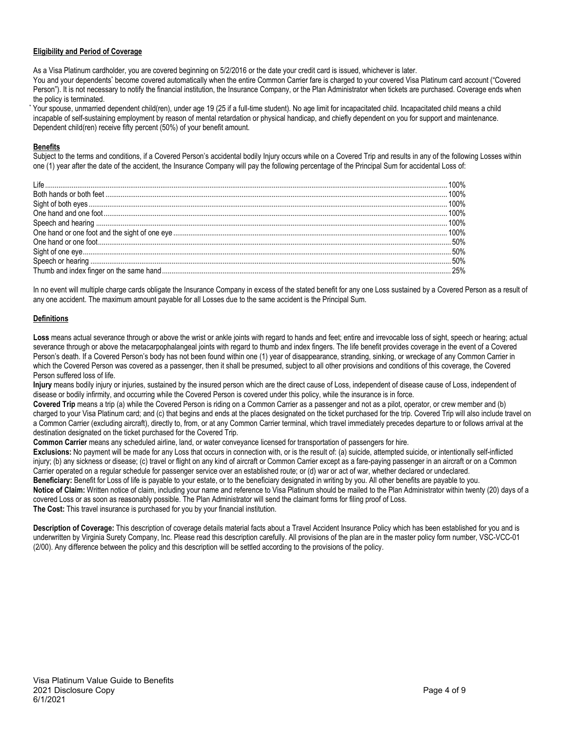# **Eligibility and Period of Coverage**

As a Visa Platinum cardholder, you are covered beginning on 5/2/2016 or the date your credit card is issued, whichever is later.

You and your dependents\* become covered automatically when the entire Common Carrier fare is charged to your covered Visa Platinum card account ("Covered Person"). It is not necessary to notify the financial institution, the Insurance Company, or the Plan Administrator when tickets are purchased. Coverage ends when the policy is terminated.

Your spouse, unmarried dependent child(ren), under age 19 (25 if a full-time student). No age limit for incapacitated child. Incapacitated child means a child incapable of self-sustaining employment by reason of mental retardation or physical handicap, and chiefly dependent on you for support and maintenance. Dependent child(ren) receive fifty percent (50%) of your benefit amount.

# **Benefits**

Subject to the terms and conditions, if a Covered Person's accidental bodily Injury occurs while on a Covered Trip and results in any of the following Losses within one (1) year after the date of the accident, the Insurance Company will pay the following percentage of the Principal Sum for accidental Loss of:

In no event will multiple charge cards obligate the Insurance Company in excess of the stated benefit for any one Loss sustained by a Covered Person as a result of any one accident. The maximum amount payable for all Losses due to the same accident is the Principal Sum.

# **Definitions**

Loss means actual severance through or above the wrist or ankle joints with regard to hands and feet; entire and irrevocable loss of sight, speech or hearing; actual severance through or above the metacarpophalangeal joints with regard to thumb and index fingers. The life benefit provides coverage in the event of a Covered Person's death. If a Covered Person's body has not been found within one (1) year of disappearance, stranding, sinking, or wreckage of any Common Carrier in which the Covered Person was covered as a passenger, then it shall be presumed, subject to all other provisions and conditions of this coverage, the Covered Person suffered loss of life.

**Injury** means bodily injury or injuries, sustained by the insured person which are the direct cause of Loss, independent of disease cause of Loss, independent of disease or bodily infirmity, and occurring while the Covered Person is covered under this policy, while the insurance is in force.

**Covered Trip** means a trip (a) while the Covered Person is riding on a Common Carrier as a passenger and not as a pilot, operator, or crew member and (b) charged to your Visa Platinum card; and (c) that begins and ends at the places designated on the ticket purchased for the trip. Covered Trip will also include travel on a Common Carrier (excluding aircraft), directly to, from, or at any Common Carrier terminal, which travel immediately precedes departure to or follows arrival at the destination designated on the ticket purchased for the Covered Trip.

**Common Carrier** means any scheduled airline, land, or water conveyance licensed for transportation of passengers for hire.

**Exclusions:** No payment will be made for any Loss that occurs in connection with, or is the result of: (a) suicide, attempted suicide, or intentionally self-inflicted injury; (b) any sickness or disease; (c) travel or flight on any kind of aircraft or Common Carrier except as a fare-paying passenger in an aircraft or on a Common Carrier operated on a regular schedule for passenger service over an established route; or (d) war or act of war, whether declared or undeclared.

**Beneficiary:** Benefit for Loss of life is payable to your estate, or to the beneficiary designated in writing by you. All other benefits are payable to you. **Notice of Claim:** Written notice of claim, including your name and reference to Visa Platinum should be mailed to the Plan Administrator within twenty (20) days of a covered Loss or as soon as reasonably possible. The Plan Administrator will send the claimant forms for filing proof of Loss. **The Cost:** This travel insurance is purchased for you by your financial institution.

**Description of Coverage:** This description of coverage details material facts about a Travel Accident Insurance Policy which has been established for you and is underwritten by Virginia Surety Company, Inc. Please read this description carefully. All provisions of the plan are in the master policy form number, VSC-VCC-01 (2/00). Any difference between the policy and this description will be settled according to the provisions of the policy.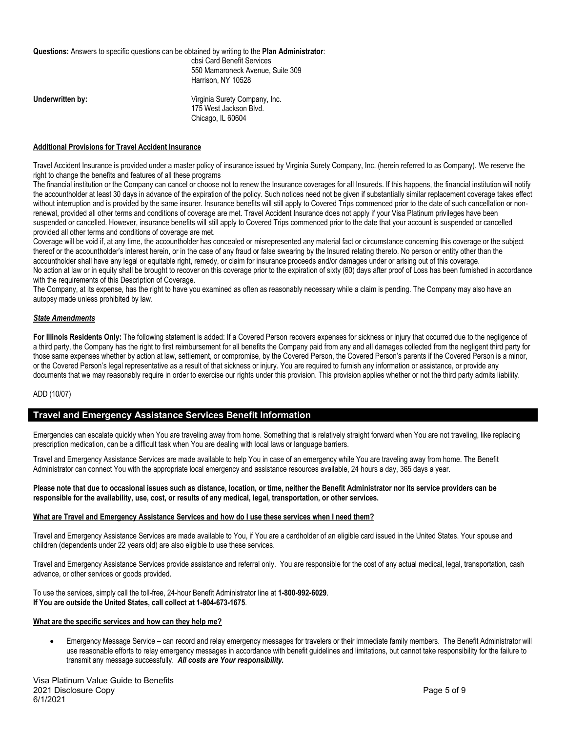| Questions: Answers to specific questions can be obtained by writing to the Plan Administrator: | cbsi Card Benefit Services<br>550 Mamaroneck Avenue. Suite 309<br>Harrison, NY 10528 |
|------------------------------------------------------------------------------------------------|--------------------------------------------------------------------------------------|
| Underwritten by:                                                                               | Virginia Surety Company, Inc.<br>175 West Jackson Blvd.<br>Chicago, IL 60604         |

# **Additional Provisions for Travel Accident Insurance**

Travel Accident Insurance is provided under a master policy of insurance issued by Virginia Surety Company, Inc. (herein referred to as Company). We reserve the right to change the benefits and features of all these programs

The financial institution or the Company can cancel or choose not to renew the Insurance coverages for all Insureds. If this happens, the financial institution will notify the accountholder at least 30 days in advance of the expiration of the policy. Such notices need not be given if substantially similar replacement coverage takes effect without interruption and is provided by the same insurer. Insurance benefits will still apply to Covered Trips commenced prior to the date of such cancellation or nonrenewal, provided all other terms and conditions of coverage are met. Travel Accident Insurance does not apply if your Visa Platinum privileges have been suspended or cancelled. However, insurance benefits will still apply to Covered Trips commenced prior to the date that your account is suspended or cancelled provided all other terms and conditions of coverage are met.

Coverage will be void if, at any time, the accountholder has concealed or misrepresented any material fact or circumstance concerning this coverage or the subject thereof or the accountholder's interest herein, or in the case of any fraud or false swearing by the Insured relating thereto. No person or entity other than the accountholder shall have any legal or equitable right, remedy, or claim for insurance proceeds and/or damages under or arising out of this coverage. No action at law or in equity shall be brought to recover on this coverage prior to the expiration of sixty (60) days after proof of Loss has been furnished in accordance with the requirements of this Description of Coverage.

The Company, at its expense, has the right to have you examined as often as reasonably necessary while a claim is pending. The Company may also have an autopsy made unless prohibited by law.

# *State Amendments*

**For Illinois Residents Only:** The following statement is added: If a Covered Person recovers expenses for sickness or injury that occurred due to the negligence of a third party, the Company has the right to first reimbursement for all benefits the Company paid from any and all damages collected from the negligent third party for those same expenses whether by action at law, settlement, or compromise, by the Covered Person, the Covered Person's parents if the Covered Person is a minor, or the Covered Person's legal representative as a result of that sickness or injury. You are required to furnish any information or assistance, or provide any documents that we may reasonably require in order to exercise our rights under this provision. This provision applies whether or not the third party admits liability.

## ADD (10/07)

# **Travel and Emergency Assistance Services Benefit Information**

Emergencies can escalate quickly when You are traveling away from home. Something that is relatively straight forward when You are not traveling, like replacing prescription medication, can be a difficult task when You are dealing with local laws or language barriers.

Travel and Emergency Assistance Services are made available to help You in case of an emergency while You are traveling away from home. The Benefit Administrator can connect You with the appropriate local emergency and assistance resources available, 24 hours a day, 365 days a year.

## **Please note that due to occasional issues such as distance, location, or time, neither the Benefit Administrator nor its service providers can be responsible for the availability, use, cost, or results of any medical, legal, transportation, or other services.**

# **What are Travel and Emergency Assistance Services and how do I use these services when I need them?**

Travel and Emergency Assistance Services are made available to You, if You are a cardholder of an eligible card issued in the United States. Your spouse and children (dependents under 22 years old) are also eligible to use these services.

Travel and Emergency Assistance Services provide assistance and referral only. You are responsible for the cost of any actual medical, legal, transportation, cash advance, or other services or goods provided.

To use the services, simply call the toll-free, 24-hour Benefit Administrator line at **1-800-992-6029**. **If You are outside the United States, call collect at 1-804-673-1675**.

# **What are the specific services and how can they help me?**

• Emergency Message Service – can record and relay emergency messages for travelers or their immediate family members. The Benefit Administrator will use reasonable efforts to relay emergency messages in accordance with benefit guidelines and limitations, but cannot take responsibility for the failure to transmit any message successfully. *All costs are Your responsibility.*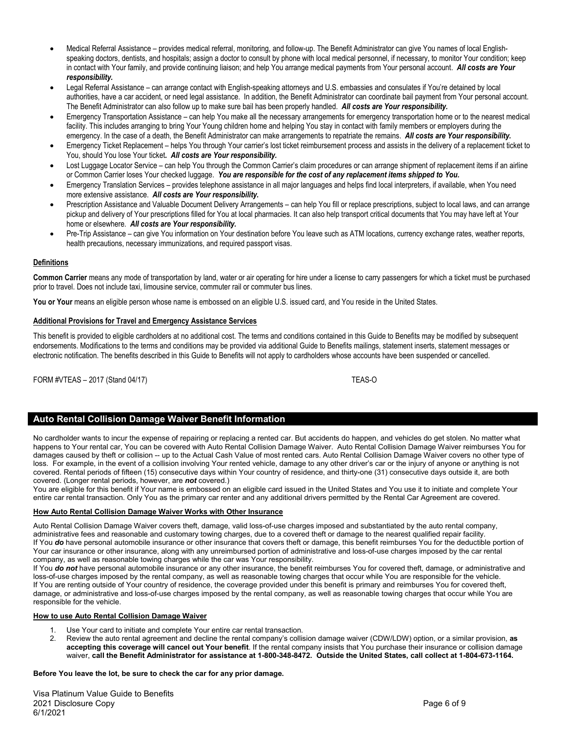- Medical Referral Assistance provides medical referral, monitoring, and follow-up. The Benefit Administrator can give You names of local Englishspeaking doctors, dentists, and hospitals; assign a doctor to consult by phone with local medical personnel, if necessary, to monitor Your condition; keep in contact with Your family, and provide continuing liaison; and help You arrange medical payments from Your personal account. *All costs are Your responsibility.*
- Legal Referral Assistance can arrange contact with English-speaking attorneys and U.S. embassies and consulates if You're detained by local authorities, have a car accident, or need legal assistance. In addition, the Benefit Administrator can coordinate bail payment from Your personal account. The Benefit Administrator can also follow up to make sure bail has been properly handled. *All costs are Your responsibility.*
- Emergency Transportation Assistance can help You make all the necessary arrangements for emergency transportation home or to the nearest medical facility. This includes arranging to bring Your Young children home and helping You stay in contact with family members or employers during the emergency. In the case of a death, the Benefit Administrator can make arrangements to repatriate the remains. *All costs are Your responsibility.*
- Emergency Ticket Replacement helps You through Your carrier's lost ticket reimbursement process and assists in the delivery of a replacement ticket to You, should You lose Your ticket**.** *All costs are Your responsibility.*
- Lost Luggage Locator Service can help You through the Common Carrier's claim procedures or can arrange shipment of replacement items if an airline or Common Carrier loses Your checked luggage. *You are responsible for the cost of any replacement items shipped to You.*
- Emergency Translation Services provides telephone assistance in all major languages and helps find local interpreters, if available, when You need more extensive assistance. *All costs are Your responsibility.*
- Prescription Assistance and Valuable Document Delivery Arrangements can help You fill or replace prescriptions, subject to local laws, and can arrange pickup and delivery of Your prescriptions filled for You at local pharmacies. It can also help transport critical documents that You may have left at Your home or elsewhere. *All costs are Your responsibility.*
- Pre-Trip Assistance can give You information on Your destination before You leave such as ATM locations, currency exchange rates, weather reports, health precautions, necessary immunizations, and required passport visas.

# **Definitions**

**Common Carrier** means any mode of transportation by land, water or air operating for hire under a license to carry passengers for which a ticket must be purchased prior to travel. Does not include taxi, limousine service, commuter rail or commuter bus lines.

**You or Your** means an eligible person whose name is embossed on an eligible U.S. issued card, and You reside in the United States.

# **Additional Provisions for Travel and Emergency Assistance Services**

This benefit is provided to eligible cardholders at no additional cost. The terms and conditions contained in this Guide to Benefits may be modified by subsequent endorsements. Modifications to the terms and conditions may be provided via additional Guide to Benefits mailings, statement inserts, statement messages or electronic notification. The benefits described in this Guide to Benefits will not apply to cardholders whose accounts have been suspended or cancelled.

FORM #VTEAS – 2017 (Stand 04/17) TEAS-O

# **Auto Rental Collision Damage Waiver Benefit Information**

No cardholder wants to incur the expense of repairing or replacing a rented car. But accidents do happen, and vehicles do get stolen. No matter what happens to Your rental car, You can be covered with Auto Rental Collision Damage Waiver. Auto Rental Collision Damage Waiver reimburses You for damages caused by theft or collision -- up to the Actual Cash Value of most rented cars. Auto Rental Collision Damage Waiver covers no other type of loss. For example, in the event of a collision involving Your rented vehicle, damage to any other driver's car or the injury of anyone or anything is not covered. Rental periods of fifteen (15) consecutive days within Your country of residence, and thirty-one (31) consecutive days outside it, are both covered. (Longer rental periods, however, are *not* covered.)

You are eligible for this benefit if Your name is embossed on an eligible card issued in the United States and You use it to initiate and complete Your entire car rental transaction. Only You as the primary car renter and any additional drivers permitted by the Rental Car Agreement are covered.

# **How Auto Rental Collision Damage Waiver Works with Other Insurance**

Auto Rental Collision Damage Waiver covers theft, damage, valid loss-of-use charges imposed and substantiated by the auto rental company, administrative fees and reasonable and customary towing charges, due to a covered theft or damage to the nearest qualified repair facility. If You *do* have personal automobile insurance or other insurance that covers theft or damage, this benefit reimburses You for the deductible portion of Your car insurance or other insurance, along with any unreimbursed portion of administrative and loss-of-use charges imposed by the car rental company, as well as reasonable towing charges while the car was Your responsibility.

If You *do not* have personal automobile insurance or any other insurance, the benefit reimburses You for covered theft, damage, or administrative and loss-of-use charges imposed by the rental company, as well as reasonable towing charges that occur while You are responsible for the vehicle. If You are renting outside of Your country of residence, the coverage provided under this benefit is primary and reimburses You for covered theft, damage, or administrative and loss-of-use charges imposed by the rental company, as well as reasonable towing charges that occur while You are responsible for the vehicle.

## **How to use Auto Rental Collision Damage Waiver**

- 1. Use Your card to initiate and complete Your entire car rental transaction.<br>2. Review the auto rental agreement and decline the rental company's collis
- 2. Review the auto rental agreement and decline the rental company's collision damage waiver (CDW/LDW) option, or a similar provision, **as accepting this coverage will cancel out Your benefit**. If the rental company insists that You purchase their insurance or collision damage waiver, **call the Benefit Administrator for assistance at 1-800-348-8472. Outside the United States, call collect at 1-804-673-1164.**

## **Before You leave the lot, be sure to check the car for any prior damage.**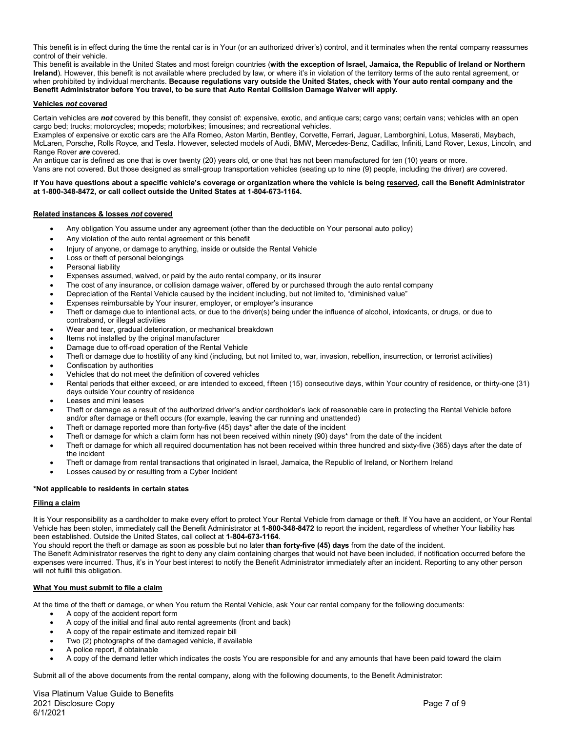This benefit is in effect during the time the rental car is in Your (or an authorized driver's) control, and it terminates when the rental company reassumes control of their vehicle.

This benefit is available in the United States and most foreign countries (**with the exception of Israel, Jamaica, the Republic of Ireland or Northern Ireland**). However, this benefit is not available where precluded by law, or where it's in violation of the territory terms of the auto rental agreement, or when prohibited by individual merchants. **Because regulations vary outside the United States, check with Your auto rental company and the Benefit Administrator before You travel, to be sure that Auto Rental Collision Damage Waiver will apply.**

#### **Vehicles** *not* **covered**

Certain vehicles are *not* covered by this benefit, they consist of: expensive, exotic, and antique cars; cargo vans; certain vans; vehicles with an open cargo bed; trucks; motorcycles; mopeds; motorbikes; limousines; and recreational vehicles.

Examples of expensive or exotic cars are the Alfa Romeo, Aston Martin, Bentley, Corvette, Ferrari, Jaguar, Lamborghini, Lotus, Maserati, Maybach, McLaren, Porsche, Rolls Royce, and Tesla. However, selected models of Audi, BMW, Mercedes-Benz, Cadillac, Infiniti, Land Rover, Lexus, Lincoln, and Range Rover *are* covered.

An antique car is defined as one that is over twenty (20) years old, or one that has not been manufactured for ten (10) years or more. Vans are not covered. But those designed as small-group transportation vehicles (seating up to nine (9) people, including the driver) *are* covered.

#### **If You have questions about a specific vehicle's coverage or organization where the vehicle is being reserved, call the Benefit Administrator at 1-800-348-8472, or call collect outside the United States at 1-804-673-1164.**

#### **Related instances & losses** *not* **covered**

- Any obligation You assume under any agreement (other than the deductible on Your personal auto policy)
- Any violation of the auto rental agreement or this benefit
- Injury of anyone, or damage to anything, inside or outside the Rental Vehicle
- Loss or theft of personal belongings
- Personal liability
- Expenses assumed, waived, or paid by the auto rental company, or its insurer
- The cost of any insurance, or collision damage waiver, offered by or purchased through the auto rental company
- Depreciation of the Rental Vehicle caused by the incident including, but not limited to, "diminished value"
- Expenses reimbursable by Your insurer, employer, or employer's insurance
- Theft or damage due to intentional acts, or due to the driver(s) being under the influence of alcohol, intoxicants, or drugs, or due to contraband, or illegal activities
- Wear and tear, gradual deterioration, or mechanical breakdown
- Items not installed by the original manufacturer
- Damage due to off-road operation of the Rental Vehicle
- Theft or damage due to hostility of any kind (including, but not limited to, war, invasion, rebellion, insurrection, or terrorist activities)
- Confiscation by authorities
- Vehicles that do not meet the definition of covered vehicles
- Rental periods that either exceed, or are intended to exceed, fifteen (15) consecutive days, within Your country of residence, or thirty-one (31) days outside Your country of residence
- Leases and mini leases
- Theft or damage as a result of the authorized driver's and/or cardholder's lack of reasonable care in protecting the Rental Vehicle before and/or after damage or theft occurs (for example, leaving the car running and unattended)
- Theft or damage reported more than forty-five (45) days\* after the date of the incident
- Theft or damage for which a claim form has not been received within ninety (90) days\* from the date of the incident
- Theft or damage for which all required documentation has not been received within three hundred and sixty-five (365) days after the date of the incident
- Theft or damage from rental transactions that originated in Israel, Jamaica, the Republic of Ireland, or Northern Ireland
- Losses caused by or resulting from a Cyber Incident

## **\*Not applicable to residents in certain states**

#### **Filing a claim**

It is Your responsibility as a cardholder to make every effort to protect Your Rental Vehicle from damage or theft. If You have an accident, or Your Rental Vehicle has been stolen, immediately call the Benefit Administrator at **1-800-348-8472** to report the incident, regardless of whether Your liability has been established. Outside the United States, call collect at **1**-**804-673-1164**.

You should report the theft or damage as soon as possible but no later **than forty-five (45) days** from the date of the incident.

The Benefit Administrator reserves the right to deny any claim containing charges that would not have been included, if notification occurred before the expenses were incurred. Thus, it's in Your best interest to notify the Benefit Administrator immediately after an incident. Reporting to any other person will not fulfill this obligation.

#### **What You must submit to file a claim**

At the time of the theft or damage, or when You return the Rental Vehicle, ask Your car rental company for the following documents:

- A copy of the accident report form
- A copy of the initial and final auto rental agreements (front and back)
- A copy of the repair estimate and itemized repair bill
- Two (2) photographs of the damaged vehicle, if available
- A police report, if obtainable
- A copy of the demand letter which indicates the costs You are responsible for and any amounts that have been paid toward the claim

Submit all of the above documents from the rental company, along with the following documents, to the Benefit Administrator:

Visa Platinum Value Guide to Benefits 2021 Disclosure Copy Page 7 of 9 6/1/2021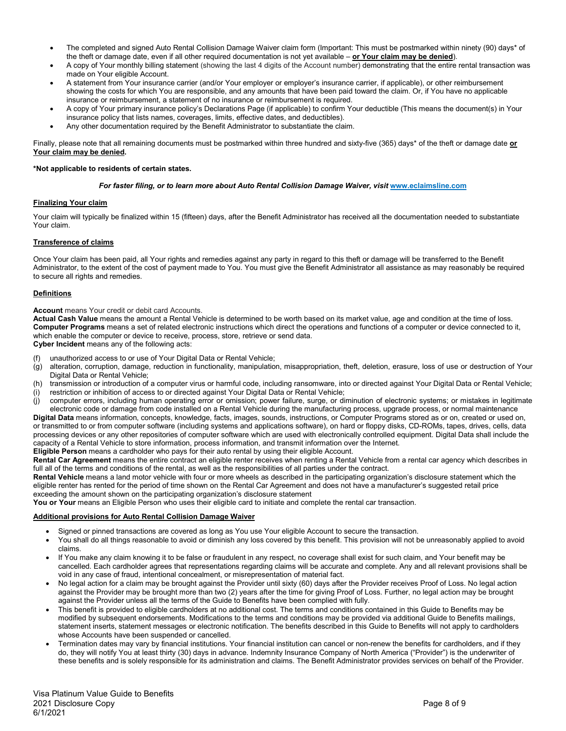- The completed and signed Auto Rental Collision Damage Waiver claim form (Important: This must be postmarked within ninety (90) days\* of the theft or damage date, even if all other required documentation is not yet available – **or Your claim may be denied**).
- A copy of Your monthly billing statement (showing the last 4 digits of the Account number) demonstrating that the entire rental transaction was made on Your eligible Account.
- A statement from Your insurance carrier (and/or Your employer or employer's insurance carrier, if applicable), or other reimbursement showing the costs for which You are responsible, and any amounts that have been paid toward the claim. Or, if You have no applicable insurance or reimbursement, a statement of no insurance or reimbursement is required.
- A copy of Your primary insurance policy's Declarations Page (if applicable) to confirm Your deductible (This means the document(s) in Your insurance policy that lists names, coverages, limits, effective dates, and deductibles).
- Any other documentation required by the Benefit Administrator to substantiate the claim.

Finally, please note that all remaining documents must be postmarked within three hundred and sixty-five (365) days\* of the theft or damage date **or Your claim may be denied.**

# **\*Not applicable to residents of certain states.**

# *For faster filing, or to learn more about Auto Rental Collision Damage Waiver, visit [www.eclaimsline.com](http://www.eclaimsline.com/)*

# **Finalizing Your claim**

Your claim will typically be finalized within 15 (fifteen) days, after the Benefit Administrator has received all the documentation needed to substantiate Your claim.

# **Transference of claims**

Once Your claim has been paid, all Your rights and remedies against any party in regard to this theft or damage will be transferred to the Benefit Administrator, to the extent of the cost of payment made to You. You must give the Benefit Administrator all assistance as may reasonably be required to secure all rights and remedies.

# **Definitions**

## **Account** means Your credit or debit card Accounts.

**Actual Cash Value** means the amount a Rental Vehicle is determined to be worth based on its market value, age and condition at the time of loss. **Computer Programs** means a set of related electronic instructions which direct the operations and functions of a computer or device connected to it, which enable the computer or device to receive, process, store, retrieve or send data.

**Cyber Incident** means any of the following acts:

- (f) unauthorized access to or use of Your Digital Data or Rental Vehicle;
- (g) alteration, corruption, damage, reduction in functionality, manipulation, misappropriation, theft, deletion, erasure, loss of use or destruction of Your Digital Data or Rental Vehicle;
- (h) transmission or introduction of a computer virus or harmful code, including ransomware, into or directed against Your Digital Data or Rental Vehicle;
- (i) restriction or inhibition of access to or directed against Your Digital Data or Rental Vehicle;
- (j) computer errors, including human operating error or omission; power failure, surge, or diminution of electronic systems; or mistakes in legitimate electronic code or damage from code installed on a Rental Vehicle during the manufacturing process, upgrade process, or normal maintenance

**Digital Data** means information, concepts, knowledge, facts, images, sounds, instructions, or Computer Programs stored as or on, created or used on, or transmitted to or from computer software (including systems and applications software), on hard or floppy disks, CD-ROMs, tapes, drives, cells, data processing devices or any other repositories of computer software which are used with electronically controlled equipment. Digital Data shall include the capacity of a Rental Vehicle to store information, process information, and transmit information over the Internet. **Eligible Person** means a cardholder who pays for their auto rental by using their eligible Account.

**Rental Car Agreement** means the entire contract an eligible renter receives when renting a Rental Vehicle from a rental car agency which describes in full all of the terms and conditions of the rental, as well as the responsibilities of all parties under the contract.

**Rental Vehicle** means a land motor vehicle with four or more wheels as described in the participating organization's disclosure statement which the eligible renter has rented for the period of time shown on the Rental Car Agreement and does not have a manufacturer's suggested retail price exceeding the amount shown on the participating organization's disclosure statement

**You or Your** means an Eligible Person who uses their eligible card to initiate and complete the rental car transaction.

## **Additional provisions for Auto Rental Collision Damage Waiver**

- Signed or pinned transactions are covered as long as You use Your eligible Account to secure the transaction.
- You shall do all things reasonable to avoid or diminish any loss covered by this benefit. This provision will not be unreasonably applied to avoid claims.
- If You make any claim knowing it to be false or fraudulent in any respect, no coverage shall exist for such claim, and Your benefit may be cancelled. Each cardholder agrees that representations regarding claims will be accurate and complete. Any and all relevant provisions shall be void in any case of fraud, intentional concealment, or misrepresentation of material fact.
- No legal action for a claim may be brought against the Provider until sixty (60) days after the Provider receives Proof of Loss. No legal action against the Provider may be brought more than two (2) years after the time for giving Proof of Loss. Further, no legal action may be brought against the Provider unless all the terms of the Guide to Benefits have been complied with fully.
- This benefit is provided to eligible cardholders at no additional cost. The terms and conditions contained in this Guide to Benefits may be modified by subsequent endorsements. Modifications to the terms and conditions may be provided via additional Guide to Benefits mailings, statement inserts, statement messages or electronic notification. The benefits described in this Guide to Benefits will not apply to cardholders whose Accounts have been suspended or cancelled.
- Termination dates may vary by financial institutions. Your financial institution can cancel or non-renew the benefits for cardholders, and if they do, they will notify You at least thirty (30) days in advance. Indemnity Insurance Company of North America ("Provider") is the underwriter of these benefits and is solely responsible for its administration and claims. The Benefit Administrator provides services on behalf of the Provider.